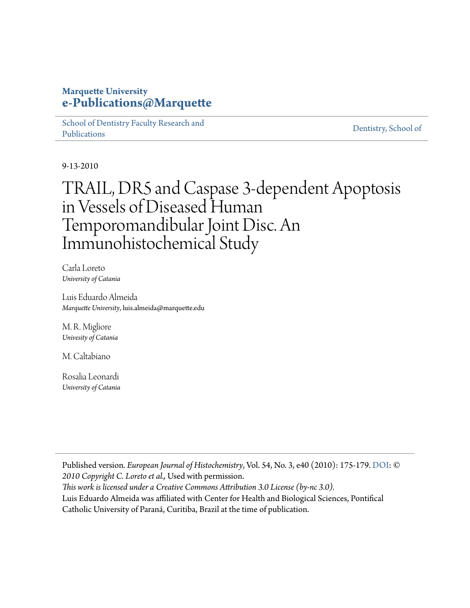# **Marquette University [e-Publications@Marquette](https://epublications.marquette.edu)**

[School of Dentistry Faculty Research and](https://epublications.marquette.edu/dentistry_fac) [Publications](https://epublications.marquette.edu/dentistry_fac)

[Dentistry, School of](https://epublications.marquette.edu/dentistry)

9-13-2010

# TRAIL, DR5 and Caspase 3-dependent Apoptosis in Vessels of Diseased Human Temporomandibular Joint Disc. An Immunohistochemical Study

Carla Loreto *University of Catania*

Luis Eduardo Almeida *Marquette University*, luis.almeida@marquette.edu

M. R. Migliore *Univesity of Catania*

M. Caltabiano

Rosalia Leonardi *University of Catania*

Published version*. European Journal of Histochemistry*, Vol. 54, No. 3, e40 (2010): 175-179. [DOI:](https://doi.org/10.4081/ejh.2010.e40) *© 2010 Copyright C. Loreto et al.,* Used with permission. *This work is licensed under a Creative Commons Attribution 3.0 License (by-nc 3.0).*

Luis Eduardo Almeida was affiliated with Center for Health and Biological Sciences, Pontifical Catholic University of Paraná, Curitiba, Brazil at the time of publication.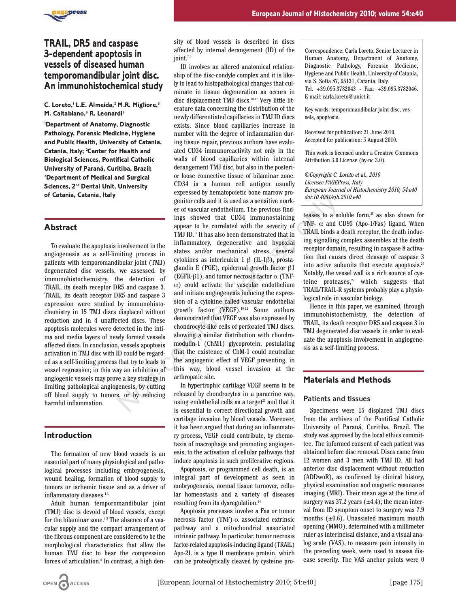

# **TRAIL, DR5 and caspase 3-dependent apoptosis in vessels of diseased human temporomandibular joint disc. An immunohistochemical study**

**C. Loreto,1 L.E. Almeida,2 M.R. Migliore,3 M. Caltabiano,3 R. Leonardi3**

**1 Department of Anatomy, Diagnostic Pathology, Forensic Medicine, Hygiene and Public Health, University of Catania, Catania, Italy; 2 Center for Health and Biological Sciences, Pontifical Catholic University of Paraná, Curitiba, Brazil; 3 Department of Medical and Surgical Sciences, 2nd Dental Unit, University of Catania, Catania, Italy**

### **Abstract**

To evaluate the apoptosis involvement in the angiogenesis as a self-limiting process in patients with temporomandibular joint (TMJ) degenerated disc vessels, we assessed, by immunohistochemistry, the detection of TRAIL, its death receptor DR5 and caspase 3. TRAIL, its death receptor DR5 and caspase 3 expression were studied by immunohistochemistry in 15 TMJ discs displaced without reduction and in 4 unaffected discs. These apoptosis molecules were detected in the intima and media layers of newly formed vessels affected discs. In conclusion, vessels apoptosis activation in TMJ disc with ID could be regarded as a self-limiting process that try to leads to vessel regression; in this way an inhibition of angiogenic vessels may prove a key strategy in limiting pathological angiogenesis, by cutting off blood supply to tumors, or by reducing harmful inflammation.

#### **Introduction**

The formation of new blood vessels is an essential part of many physiological and pathological processes including embryogenesis, wound healing, formation of blood supply to tumors or ischemic tissue and as a driver of inflammatory diseases.<sup>1-3</sup>

Adult human temporomandibular joint (TMJ) disc is devoid of blood vessels, except for the bilaminar zone.<sup>4,5</sup> The absence of a vascular supply and the compact arrangement of the fibrous component are considered to be the morphological characteristics that allow the human TMJ disc to bear the compression forces of articulation.<sup>6</sup> In contrast, a high density of blood vessels is described in discs affected by internal derangement (ID) of the joint.7-9

ID involves an altered anatomical relationship of the disc-condyle complex and it is likely to lead to histopathological changes that culminate in tissue degeneration as occurs in disc displacement TMJ discs.10-17 Very little literature data concerning the distribution of the newly differentiated capillaries in TMJ ID discs exists. Since blood capillaries increase in number with the degree of inflammation during tissue repair, previous authors have evaluated CD34 immunoreactivity not only in the walls of blood capillaries within internal derangement TMJ disc, but also in the posterior loose connective tissue of bilaminar zone. CD34 is a human cell antigen usually expressed by hematopoietic bone marrow progenitor cells and it is used as a sensitive marker of vascular endothelium. The previous findings showed that CD34 immunostaining appear to be correlated with the severity of TMJ ID.18 It has also been demonstrated that in inflammatory, degenerative and hypoxial states and/or mechanical stress, several cytokines as interleukin 1 β (IL-1β), prostaglandin E (PGE), epidermal growth factor β1 (EGFR- $\beta$ 1), and tumor necrosis factor  $\alpha$  (TNF- $\alpha$ ) could activate the vascular endothelium and initiate angiogenesis inducing the expression of a cytokine called vascular endothelial growth factor (VEGF).19-22 Some authors demonstrated that VEGF was also expressed by chondrocyte-like cells of perforated TMJ discs, showing a similar distribution with chondromodulin-1 (ChM1) glycoprotein, postulating that the existence of ChM-1 could neutralize the angiogenic effect of VEGF preventing, in this way, blood vessel invasion at the arthropatic site. genitor cells and it is used as a sensitive market for the serve of vascular endothelium. The previous find<br>ings showed that CD34 immunostaining teases to a so<br>appear to be correlated with the severity of TNF-  $\alpha$  and CT

In hypertrophic cartilage VEGF seems to be released by chondrocytes in a paracrine way, using endothelial cells as a target<sup>23</sup> and that it is essential to correct directional growth and cartilage invasion by blood vessels. Moreover, it has been argued that during an inflammatory process, VEGF could contribute, by chemotaxis of macrophage and promoting angiogenesis, to the activation of cellular pathways that induce apoptosis in such proliferative regions.

Apoptosis, or programmed cell death, is an integral part of development as seen in embryogenesis, normal tissue turnover, cellular homeostasis and a variety of diseases resulting from its dysregulation.<sup>24</sup>

Apoptosis processes involve a Fas or tumor necrosis factor (TNF)-α associated extrinsic pathway and a mitochondrial associated intrinsic pathway. In particular, tumor necrosis factor-related apoptosis-inducing ligand (TRAIL) Apo-2L is a type II membrane protein, which can be proteolytically cleaved by cysteine proCorrespondence: Carla Loreto, Senior Lecturer in Human Anatomy, Department of Anatomy, Diagnostic Pathology, Forensic Medicine, Hygiene and Public Health, University of Catania, via S. Sofia 87, 95131, Catania, Italy. Tel. +39.095.3782043 - Fax: +39.095.3782046. E-mail: carla.loreto@unict.it

Key words: temporomandibular joint disc, vessels, apoptosis.

Received for publication: 21 June 2010. Accepted for publication: 5 August 2010.

This work is licensed under a Creative Commons Attribution 3.0 License (by-nc 3.0).

*©Copyright C. Loreto et al., 2010 Licensee PAGEPress, Italy European Journal of Histochemistry 2010; 54:e40 doi:10.4081/ejh.2010.e40*

teases to a soluble form, $25$  as also shown for TNF-  $\alpha$  and CD95 (Apo-1/Fas) ligand. When TRAIL binds a death receptor, the death inducing signalling complex assembles at the death receptor domain, resulting in caspase 8 activation that causes direct cleavage of caspase 3 into active subunits that execute apoptosis.<sup>26</sup> Notably, the vessel wall is a rich source of cysteine proteases, $27$  which suggests that TRAIL/TRAIL-R systems probably play a physiological role in vascular biology.

Hence in this paper, we examined, through immunohistochemistry, the detection of TRAIL, its death receptor DR5 and caspase 3 in TMJ degenerated disc vessels in order to evaluate the apoptosis involvement in angiogenesis as a self-limiting process.

## **Materials and Methods**

#### Patients and tissues

Specimens were 15 displaced TMJ discs from the archives of the Pontifical Catholic University of Paraná, Curitiba, Brazil. The study was approved by the local ethics committee. The informed consent of each patient was obtained before disc removal. Discs came from 12 women and 3 men with TMJ ID. All had anterior disc displacement without reduction (ADDwoR), as confirmed by clinical history, physical examination and magnetic resonance imaging (MRI). Their mean age at the time of surgery was 37.2 years  $(\pm 4.4)$ ; the mean interval from ID symptom onset to surgery was 7.9 months  $(\pm 0.6)$ . Unassisted maximum mouth opening (MMO), determined with a millimeter ruler as interincisal distance, and a visual analog scale (VAS), to measure pain intensity in the preceding week, were used to assess disease severity. The VAS anchor points were 0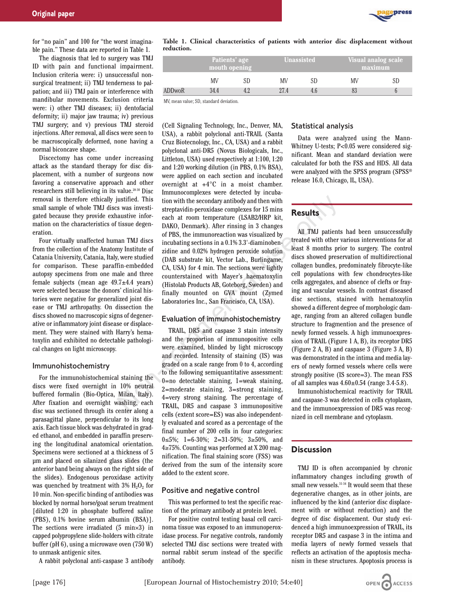

for "no pain" and 100 for "the worst imaginable pain." These data are reported in Table 1.

The diagnosis that led to surgery was TMJ ID with pain and functional impairment. Inclusion criteria were: i) unsuccessful nonsurgical treatment; ii) TMJ tenderness to palpation; and iii) TMJ pain or interference with mandibular movements. Exclusion criteria were: i) other TMJ diseases; ii) dentofacial deformity; ii) major jaw trauma; iv) previous TMJ surgery; and v) previous TMJ steroid injections. After removal, all discs were seen to be macroscopically deformed, none having a normal biconcave shape.

Discectomy has come under increasing attack as the standard therapy for disc displacement, with a number of surgeons now favoring a conservative approach and other researchers still believing in its value.28-30 Disc removal is therefore ethically justified. This small sample of whole TMJ discs was investigated because they provide exhaustive information on the characteristics of tissue degeneration.

Four virtually unaffected human TMJ discs from the collection of the Anatomy Institute of Catania University, Catania, Italy, were studied for comparison. These paraffin-embedded autopsy specimens from one male and three female subjects (mean age 49.7±4.4 years) were selected because the donors' clinical histories were negative for generalized joint disease or TMJ arthropathy. On dissection the discs showed no macroscopic signs of degenerative or inflammatory joint disease or displacement. They were stained with Harry's hematoxylin and exhibited no detectable pathological changes on light microscopy.

#### Immunohistochemistry

For the immunohistochemical staining the discs were fixed overnight in 10% neutral buffered formalin (Bio-Optica, Milan, Italy). After fixation and overnight washing, each disc was sectioned through its center along a parasagittal plane, perpendicular to its long axis. Each tissue block was dehydrated in graded ethanol, and embedded in paraffin preserving the longitudinal anatomical orientation. Specimens were sectioned at a thickness of 5 µm and placed on silanized glass slides (the anterior band being always on the right side of the slides). Endogenous peroxidase activity was quenched by treatment with  $3\%$  H<sub>2</sub>O<sub>2</sub> for 10 min. Non-specific binding of antibodies was blocked by normal horse/goat serum treatment [diluted 1:20 in phosphate buffered saline (PBS), 0.1% bovine serum albumin (BSA)]. The sections were irradiated  $(5 \text{ min} \times 3)$  in capped polypropylene slide-holders with citrate buffer (pH 6), using a microwave oven (750 W) to unmask antigenic sites.

A rabbit polyclonal anti-caspase 3 antibody

**Table 1. Clinical characteristics of patients with anterior disc displacement without reduction.**

|               | Patients' age<br>mouth opening |  | <b>Unassisted</b> |  | Visual analog scale<br>maximum |    |
|---------------|--------------------------------|--|-------------------|--|--------------------------------|----|
|               | MV                             |  | MV                |  | MV                             | SD |
| <b>ADDwoR</b> | 344                            |  | 27.4              |  |                                |    |

MV, mean value; SD, standard deviation.

(Cell Signaling Technology, Inc., Denver, MA, USA), a rabbit polyclonal anti-TRAIL (Santa Cruz Biotecnology, Inc., CA, USA) and a rabbit polyclonal anti-DR5 (Novus Biologicals, Inc., Littleton, USA) used respectively at 1:100, 1:20 and 1:20 working dilution (in PBS, 0.1% BSA), were applied on each section and incubated overnight at +4°C in a moist chamber. Immunocomplexes were detected by incubation with the secondary antibody and then with streptavidin-peroxidase complexes for 15 mins each at room temperature (LSAB2/HRP kit, DAKO, Denmark). After rinsing in 3 changes of PBS, the immunoreaction was visualized by incubating sections in a 0.1% 3.3'-diaminobenzidine and 0.02% hydrogen peroxide solution (DAB substrate kit, Vector Lab., Burlingame, CA, USA) for 4 min. The sections were lightly counterstained with Mayer's haematoxylin (Histolab Products AB, Goteborg, Sweden) and finally mounted on GVA mount (Zymed Laboratories Inc., San Francisco, CA, USA). iustified. This tion with the secondary antibody and then with<br>so was investigated in-pervadian pervadiance complexes for 15 mins<br>austive infor-<br>each at room temperature (LSAB2/HRP kit,<br>tissue degen-<br>DAKO, Denmark). After

#### Evaluation of immunohistochemistry

TRAIL, DR5 and caspase 3 stain intensity and the proportion of immunopositive cells were examined, blinded by light microscopy and recorded. Intensity of staining (IS) was graded on a scale range from 0 to 4, according to the following semiquantitative assessment: 0=no detectable staining, 1=weak staining, 2=moderate staining, 3=strong staining, 4=very strong staining. The percentage of TRAIL, DR5 and caspase 3 immunopositive cells (extent score=ES) was also independently evaluated and scored as a percentage of the final number of 200 cells in four categories: 0≤5%; 1=6-30%; 2=31-50%; 3≥50%, and 4≥75%. Counting was performed at X 200 magnification. The final staining score (FSS) was derived from the sum of the intensity score added to the extent score.

#### Positive and negative control

This was performed to test the specific reaction of the primary antibody at protein level.

For positive control testing basal cell carcinoma tissue was exposed to an immunoperoxidase process. For negative controls, randomly selected TMJ disc sections were treated with normal rabbit serum instead of the specific antibody.

#### Statistical analysis

Data were analyzed using the Mann-Whitney U-tests; P<0.05 were considered significant. Mean and standard deviation were calculated for both the FSS and HDS. All data were analyzed with the SPSS program (SPSS® release 16.0, Chicago, IL, USA).

#### **Results**

All TMJ patients had been unsuccessfully treated with other various interventions for at least 8 months prior to surgery. The control discs showed preservation of multidirectional collagen bundles, predominately fibrocyte-like cell populations with few chondrocytes-like cells aggregates, and absence of clefts or fraying and vascular vessels. In contrast diseased disc sections, stained with hematoxylin showed a different degree of morphologic damage, ranging from an altered collagen bundle structure to fragmention and the presence of newly formed vessels. A high immunoexpression of TRAIL (Figure 1 A, B), its receptor DR5 (Figure 2 A, B) and caspase 3 (Figure 3 A, B) was demonstrated in the intima and media layers of newly formed vessels where cells were strongly positive (IS score=3). The mean FSS of all samples was  $4.60 \pm 0.54$  (range 3.4-5.8).

Immunohistochemical reactivity for TRAIL and caspase-3 was detected in cells cytoplasm, and the immunoexpression of DR5 was recognized in cell membrane and cytoplasm.

## **Discussion**

TMJ ID is often accompanied by chronic inflammatory changes including growth of small new vessels.<sup>31-34</sup> It would seem that these degenerative changes, as in other joints, are influenced by the kind (anterior disc displacement with or without reduction) and the degree of disc displacement. Our study evidenced a high immunoexpression of TRAIL, its receptor DR5 and caspase 3 in the intima and media layers of newly formed vessels that reflects an activation of the apoptosis mechanism in these structures. Apoptosis process is

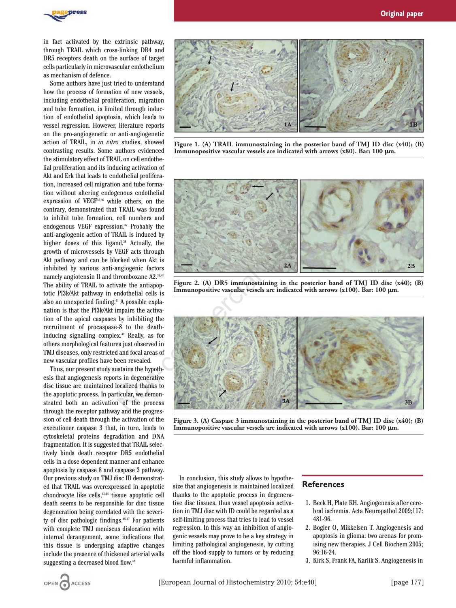

in fact activated by the extrinsic pathway, through TRAIL which cross-linking DR4 and DR5 receptors death on the surface of target cells particularly in microvascular endothelium as mechanism of defence.

Some authors have just tried to understand how the process of formation of new vessels, including endothelial proliferation, migration and tube formation, is limited through induction of endothelial apoptosis, which leads to vessel regression. However, literature reports on the pro-angiogenetic or anti-angiogenetic action of TRAIL, in *in vitro* studies, showed contrasting results. Some authors evidenced the stimulatory effect of TRAIL on cell endothelial proliferation and its inducing activation of Akt and Erk that leads to endothelial proliferation, increased cell migration and tube formation without altering endogenous endothelial expression of VEGF35,36 while others, on the contrary, demonstrated that TRAIL was found to inhibit tube formation, cell numbers and endogenous VEGF expression.37 Probably the anti-angiogenic action of TRAIL is induced by higher doses of this ligand.<sup>38</sup> Actually, the growth of microvessels by VEGF acts through Akt pathway and can be blocked when Akt is inhibited by various anti-angiogenic factors namely angiotensin II and thromboxane A2.39,40 The ability of TRAIL to activate the antiapoptotic PI3k/Akt pathway in endothelial cells is also an unexpected finding.41 A possible explanation is that the PI3k/Akt impairs the activation of the apical caspases by inhibiting the recruitment of procaspase-8 to the deathinducing signalling complex.42 Really, as for others morphological features just observed in TMJ diseases, only restricted and focal areas of new vascular profiles have been revealed.

Thus, our present study sustains the hypothesis that angiogenesis reports in degenerative disc tissue are maintained localized thanks to the apoptotic process. In particular, we demonstrated both an activation of the process through the receptor pathway and the progression of cell death through the activation of the executioner caspase 3 that, in turn, leads to cytoskeletal proteins degradation and DNA fragmentation. It is suggested that TRAIL selectively binds death receptor DR5 endothelial cells in a dose dependent manner and enhance apoptosis by caspase 8 and caspase 3 pathway. Our previous study on TMJ disc ID demonstrated that TRAIL was overexpressed in apoptotic chondrocyte like cells,<sup>43,44</sup> tissue apoptotic cell death seems to be responsible for disc tissue degeneration being correlated with the severity of disc pathologic findings.<sup>4547</sup> For patients with complete TMJ meniscus dislocation with internal derangement, some indications that this tissue is undergoing adaptive changes include the presence of thickened arterial walls suggesting a decreased blood flow.<sup>48</sup>



**Figure 1. (A) TRAIL immunostaining in the posterior band of TMJ ID disc (x40); (B)** Immunopositive vascular vessels are indicated with arrows (x80). Bar: 100  $\mu$ m.







**Figure 3. (A) Caspase 3 immunostaining in the posterior band of TMJ ID disc (x40); (B)** Immunopositive vascular vessels are indicated with arrows (x100). Bar: 100  $\mu$ m.

In conclusion, this study allows to hypothesize that angiogenesis is maintained localized thanks to the apoptotic process in degenerative disc tissues, thus vessel apoptosis activation in TMJ disc with ID could be regarded as a self-limiting process that tries to lead to vessel regression. In this way an inhibition of angiogenic vessels may prove to be a key strategy in limiting pathological angiogenesis, by cutting off the blood supply to tumors or by reducing harmful inflammation.

#### **References**

- 1. Beck H, Plate KH. Angiogenesis after cerebral ischemia. Acta Neuropathol 2009;117: 481-96.
- 2. Bogler O, Mikkelsen T. Angiogenesis and apoptosis in glioma: two arenas for promising new therapies. J Cell Biochem 2005; 96:16-24.
- 3. Kirk S, Frank FA, Karlik S. Angiogenesis in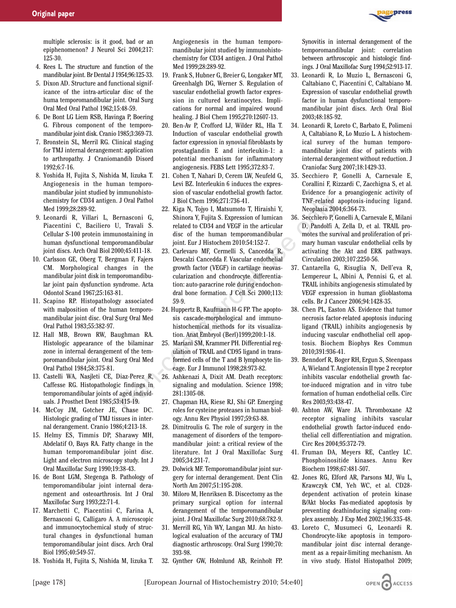

multiple sclerosis: is it good, bad or an epiphenomenon? J Neurol Sci 2004;217: 125-30.

- 4. Rees L. The structure and function of the mandibular joint. Br Dental J 1954;96:125-33.
- 5. Dixon AD. Structure and functional significance of the intra-articular disc of the huma temporomandibular joint. Oral Surg Oral Med Oral Pathol 1962;15:48-59.
- 6. De Bont LG Liem RSB, Havinga P, Boering G. Fibrous component of the temporomandibular joint disk. Cranio 1985;3:369-73.
- 7. Bronstein SL, Merril RG. Clinical staging for TMJ internal derangement: application to arthropathy. J Craniomandib Disord 1992;6:7-16.
- 8. Yoshida H, Fujita S, Nishida M, Iizuka T. Angiogenesis in the human temporomandibular joint studied by immunohistochemistry for CD34 antigen. J Oral Pathol Med 1999;28:289-92.
- 9. Leonardi R, Villari L, Bernasconi G, Piacentini C, Baciliero U, Travali S. Cellular S-100 protein immunostaining in human dysfunctional temporomandibular joint discs. Arch Oral Biol 2000;45:411-18.
- 10. Carlsson GE, Oberg T, Bergman F, Fajers CM. Morphological changes in the mandibular joint disk in temporomandibular joint pain dysfunction syndrome. Acta Odontol Scand 1967;25:163-81.
- 11. Scapino RP. Histopathology associated with malposition of the human temporomandibular joint disc. Oral Surg Oral Med Oral Pathol 1983;55:382-97.
- 12. Hall MB, Brown RW, Baughman RA. Histologic appearance of the bilaminar zone in internal derangement of the temporomandibular joint. Oral Surg Oral Med Oral Pathol 1984;58:375-81.
- 13. Castelli WA, Nasjleti CE, Diaz-Perez R, Caffesse RG. Histopathologic findings in temporomandibular joints of aged individuals. J Prosthet Dent 1985;53:415-19.
- 14. McCoy JM, Gotcher JE, Chase DC. Histologic grading of TMJ tissues in internal derangement. Cranio 1986;4:213-18.
- 15. Helmy ES, Timmis DP, Sharawy MH, Abdelatif O, Bays RA. Fatty change in the human temporomandibular joint disc. Light and electron microscopy study. Int J Oral Maxillofac Surg 1990;19:38-43.
- 16. de Bont LGM, Stegenga B. Pathology of temporomandibular joint internal derangement and osteoarthrosis. Int J Oral Maxillofac Surg 1993;22:71-4.
- 17. Marchetti C, Piacentini C, Farina A, Bernasconi G, Calligaro A. A microscopic and immunocytochemical study of structural changes in dysfunctional human temporomandibular joint discs. Arch Oral Biol 1995;40:549-57.
- 18. Yoshida H, Fujita S, Nishida M, Iizuka T.

Angiogenesis in the human temporomandibular joint studied by immunohistochemistry for CD34 antigen. J Oral Pathol Med 1999;28:289-92.

- 19. Frank S, Hubner G, Breier G, Longaker MT, Greenhalgh DG, Werner S. Regulation of vascular endothelial growth factor expression in cultured keratinocytes. Implications for normal and impaired wound healing. J Biol Chem 1995;270:12607-13.
- 20. Ben-Av P, Crofford LJ, Wilder RL, Hla T. Induction of vascular endothelial growth factor expression in synovial fibroblasts by prostaglandin E and interleukin-1: a potential mechanism for inflammatory angiogenesis. FEBS Lett 1995;372:83-7.
- 21. Cohen T, Nahari D, Cerem LW, Neufeld G, Levi BZ. Interleukin 6 induces the expression of vascular endothelial growth factor. J Biol Chem 1996;271:736-41.
- 22. Kiga N, Tojyo I, Matsumoto T, Hiraishi Y, Shinora Y, Fujita S. Expression of lumican related to CD34 and VEGF in the articular disc of the human temporomandibular joint. Eur J Histochem 2010:54:152-7.
- 23. Carlevaro MF, Cermelli S, Cancedda R, Descalzi Cancedda F. Vascular endothelial growth factor (VEGF) in cartilage neovascularization and chondrocyte differentiation: auto-paracrine role during endochondral bone formation. J Cell Sci 2000;113: 59-9. J Biol Chem 1996;271:736-41<br>
ernasconi G<br>
22. Kiga N, Toyo I, Matsumoto T, Hiraishi Y, Neoplasia 2004<br>
17 C-rigis A, Toyo I, Matsumoto T, Hiraishi Y, Neoplasia 2004<br>
17 C-rigis S. Expression of lumican 36. Seechiero P, G<br>
	- 24. Huppertz B, Kaufmann H-G FP. The apoptosis cascade-morphological and immunohistochemical methods for its visualization. Anat Embryol (Berl)1999;200:1-18.
	- 25. Mariani SM, Krammer PH. Differential regulation of TRAIL and CD95 ligand in transformed cells of the T and B lymphocyte lineage. Eur J Immunol 1998;28:973-82.
	- 26. Ashkenazi A, Dixit AM. Death receptors: signaling and modulation. Science 1998; 281:1305-08.
	- 27. Chapman HA, Riese RJ, Shi GP. Emerging roles for cysteine proteases in human biology. Annu Rev Physiol 1997;59:63-88.
	- 28. Dimitroulis G. The role of surgery in the management of disorders of the temporomandibular joint: a critical review of the literature. Int J Oral Maxillofac Surg 2005;34:231-7.
	- 29. Dolwick MF. Temporomandibular joint surgery for internal derangement. Dent Clin North Am 2007;51:195-208.
	- 30. Miloro M, Henriksen B. Discectomy as the primary surgical option for internal derangement of the temporomandibular joint. J Oral Maxillofac Surg 2010;68:782-9.
	- 31. Merrill RG, Yih WY, Langan MJ. An histological evaluation of the accuracy of TMJ diagnostic arthroscopy. Oral Surg 1990;70: 393-98.
	- 32. Gynther GW, Holmlund AB, Reinholt FP.

Synovitis in internal derangement of the temporomandibular joint: correlation between arthroscopic and histologic findings. J Oral Maxillofac Surg 1994;52:913-17.

- 33. Leonardi R, Lo Muzio L, Bernasconi G, Caltabiano C, Piacentini C, Caltabiano M. Expression of vascular endothelial growth factor in human dysfunctional temporomandibular joint discs. Arch Oral Biol 2003;48:185-92.
- 34. Leonardi R, Loreto C, Barbato E, Polimeni A, Caltabiano R, Lo Muzio L. A histochemical survey of the human temporomandibular joint disc of patients with internal derangement without reduction. J Craniofac Surg 2007;18:1429-33.
- 35. Secchiero P, Gonelli A, Carnevale E, Corallini F, Rizzardi C, Zacchigna S, et al. Evidence for a proangiogenic activity of TNF-related apoptosis-inducing ligand. Neoplasia 2004;6:364-73.
- 36. Secchiero P, Gonelli A, Carnevale E, Milani D, Pandolfi A, Zella D, et al. TRAIL promotes the survival and proliferation of primary human vascular endothelial cells by activating the Akt and ERK pathways. Circulation 2003;107:2250-56.
- 37. Cantarella G, Risuglia N, Dell'eva R, Lempereur L, Albini A, Pennisi G, et al. TRAIL inhibits angiogenesis stimulated by VEGF expression in human glioblastoma cells. Br J Cancer 2006;94:1428-35.
- 38. Chen PL, Easton AS. Evidence that tumor necrosis factor-related apoptosis inducing ligand (TRAIL) inhibits angiogenesis by inducing vascular endhothelial cell apoptosis. Biochem Biophys Res Commun 2010;391:936-41.
- 39. Benndorf R, Boger RH, Ergun S, Steenpass A, Wieland T. Angiotensin II type 2 receptor inhibits vascular endothelial growth factor-induced migration and in vitro tube formation of human endothelial cells. Circ Res 2003;93:438-47.
- 40. Ashton AW, Ware JA. Thromboxane A2 receptor signaling inhibits vascular endothelial growth factor-induced endothelial cell differentiation and migration. Circ Res 2004;95:372-79.
- 41. Fruman DA, Meyers RE, Cantley LC. Phosphoinositide kinases. Annu Rev Biochem 1998;67:481-507.
- 42. Jones RG, Elford AR, Parsons MJ, Wu L, Krawczyk CM, Yeh WC, et al. CD28 dependent activation of protein kinase B/Akt blocks Fas-mediated apoptosis by preventing deathinducing signaling complex assembly. J Exp Med 2002;196:335-48.
- 43. Loreto C, Musumeci G, Leonardi R. Chondrocyte-like apoptosis in temporomandibular joint disc internal derangement as a repair-limiting mechanism. An in vivo study. Histol Histopathol 2009;